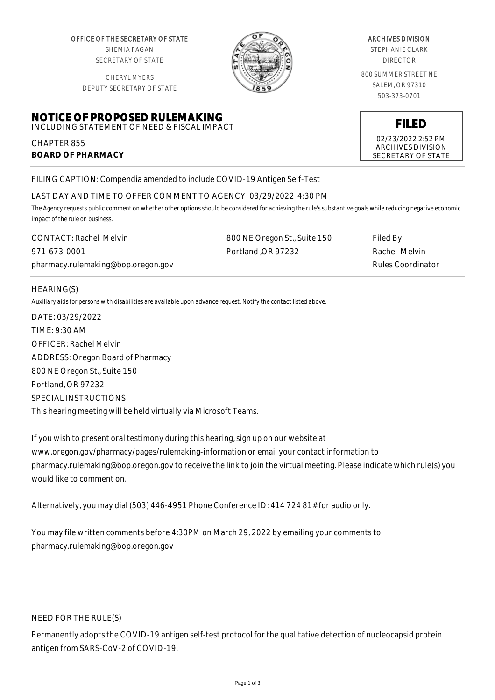OFFICE OF THE SECRETARY OF STATE SHEMIA FAGAN SECRETARY OF STATE

CHERYL MYERS

**NOTICE OF PROPOSED RULEMAKING** INCLUDING STATEMENT OF NEED & FISCAL IMPACT



#### ARCHIVES DIVISION

STEPHANIE CLARK DIRECTOR

800 SUMMER STREET NE SALEM, OR 97310 503-373-0701

DEPUTY SECRETARY OF STATE

# **FILED**

02/23/2022 2:52 PM ARCHIVES DIVISION SECRETARY OF STATE

FILING CAPTION: Compendia amended to include COVID-19 Antigen Self-Test

# LAST DAY AND TIME TO OFFER COMMENT TO AGENCY: 03/29/2022 4:30 PM

*The Agency requests public comment on whether other options should be considered for achieving the rule's substantive goals while reducing negative economic impact of the rule on business.*

| CONTACT: Rachel Melvin             | 800 NE Oregon St., Suite 150 | Filed By:                |
|------------------------------------|------------------------------|--------------------------|
| 971-673-0001                       | Portland OR 97232            | Rachel Melvin            |
| pharmacy.rulemaking@bop.oregon.gov |                              | <b>Rules Coordinator</b> |

#### HEARING(S)

CHAPTER 855

**BOARD OF PHARMACY**

*Auxiliary aids for persons with disabilities are available upon advance request. Notify the contact listed above.*

DATE: 03/29/2022 TIME: 9:30 AM OFFICER: Rachel Melvin ADDRESS: Oregon Board of Pharmacy 800 NE Oregon St., Suite 150 Portland, OR 97232 SPECIAL INSTRUCTIONS: This hearing meeting will be held virtually via Microsoft Teams.

If you wish to present oral testimony during this hearing, sign up on our website at www.oregon.gov/pharmacy/pages/rulemaking-information or email your contact information to pharmacy.rulemaking@bop.oregon.gov to receive the link to join the virtual meeting. Please indicate which rule(s) you would like to comment on.

Alternatively, you may dial (503) 446-4951 Phone Conference ID: 414 724 81# for audio only.

You may file written comments before 4:30PM on March 29, 2022 by emailing your comments to pharmacy.rulemaking@bop.oregon.gov

# NEED FOR THE RULE(S)

Permanently adopts the COVID-19 antigen self-test protocol for the qualitative detection of nucleocapsid protein antigen from SARS-CoV-2 of COVID-19.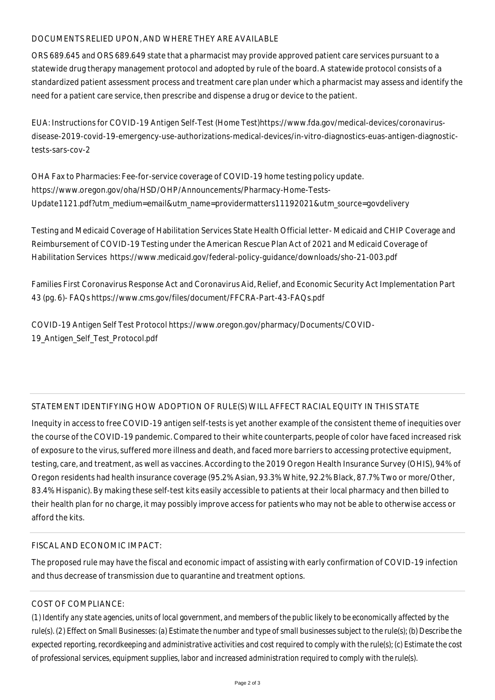# DOCUMENTS RELIED UPON, AND WHERE THEY ARE AVAILABLE

ORS 689.645 and ORS 689.649 state that a pharmacist may provide approved patient care services pursuant to a statewide drug therapy management protocol and adopted by rule of the board. A statewide protocol consists of a standardized patient assessment process and treatment care plan under which a pharmacist may assess and identify the need for a patient care service, then prescribe and dispense a drug or device to the patient.

EUA: Instructions for COVID-19 Antigen Self-Test (Home Test)https://www.fda.gov/medical-devices/coronavirusdisease-2019-covid-19-emergency-use-authorizations-medical-devices/in-vitro-diagnostics-euas-antigen-diagnostictests-sars-cov-2

OHA Fax to Pharmacies: Fee-for-service coverage of COVID-19 home testing policy update. https://www.oregon.gov/oha/HSD/OHP/Announcements/Pharmacy-Home-Tests-Update1121.pdf?utm\_medium=email&utm\_name=providermatters11192021&utm\_source=govdelivery

Testing and Medicaid Coverage of Habilitation Services State Health Official letter- Medicaid and CHIP Coverage and Reimbursement of COVID-19 Testing under the American Rescue Plan Act of 2021 and Medicaid Coverage of Habilitation Services https://www.medicaid.gov/federal-policy-guidance/downloads/sho-21-003.pdf

Families First Coronavirus Response Act and Coronavirus Aid, Relief, and Economic Security Act Implementation Part 43 (pg. 6)- FAQs https://www.cms.gov/files/document/FFCRA-Part-43-FAQs.pdf

COVID-19 Antigen Self Test Protocol https://www.oregon.gov/pharmacy/Documents/COVID-19 Antigen Self Test Protocol.pdf

# STATEMENT IDENTIFYING HOW ADOPTION OF RULE(S) WILL AFFECT RACIAL EQUITY IN THIS STATE

Inequity in access to free COVID-19 antigen self-tests is yet another example of the consistent theme of inequities over the course of the COVID-19 pandemic. Compared to their white counterparts, people of color have faced increased risk of exposure to the virus, suffered more illness and death, and faced more barriers to accessing protective equipment, testing, care, and treatment, as well as vaccines. According to the 2019 Oregon Health Insurance Survey (OHIS), 94% of Oregon residents had health insurance coverage (95.2% Asian, 93.3% White, 92.2% Black, 87.7% Two or more/Other, 83.4% Hispanic). By making these self-test kits easily accessible to patients at their local pharmacy and then billed to their health plan for no charge, it may possibly improve access for patients who may not be able to otherwise access or afford the kits.

# FISCAL AND ECONOMIC IMPACT:

The proposed rule may have the fiscal and economic impact of assisting with early confirmation of COVID-19 infection and thus decrease of transmission due to quarantine and treatment options.

# COST OF COMPLIANCE:

*(1) Identify any state agencies, units of local government, and members of the public likely to be economically affected by the rule(s). (2) Effect on Small Businesses: (a) Estimate the number and type of small businesses subject to the rule(s); (b) Describe the expected reporting, recordkeeping and administrative activities and cost required to comply with the rule(s); (c) Estimate the cost of professional services, equipment supplies, labor and increased administration required to comply with the rule(s).*